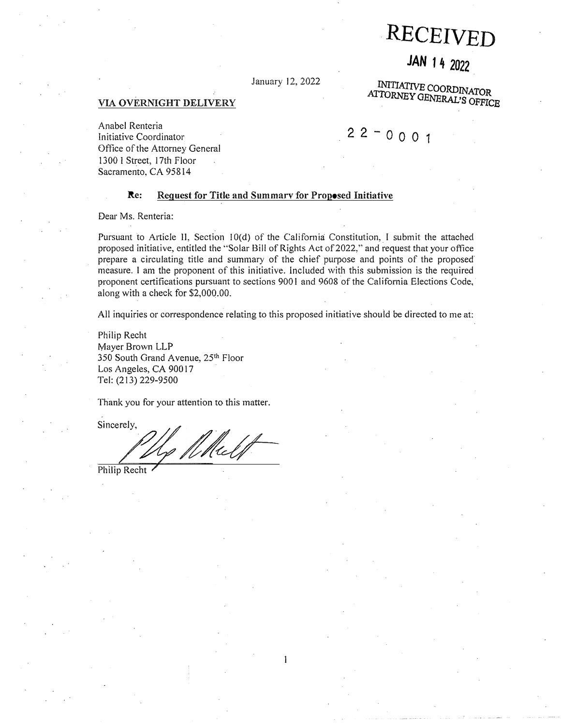# **RECEIVED**

## **JAN 14 2022**

**ATTORNEY GENERAL'S OFFICE** 

**INI T IAT IVE C OO**

January l2, 2022

#### VIA OVERNIGHT DELIVERY

Anabel Renteria Initiative Coordinator Office of the Attorney General 1300 I Street, 17th Floor Sacramento, CA 95814

## $22 - 0001$

#### Re: Request for Title and Summarv for Proposed Initiative

Dear Ms. Renteria:

Pursuant to Article II, Section 10(d) of the California Constitution, I submit the attached proposed initiative, entitled the "Solar Bill of Rights Act of 2022," and request that your office prepare a circulating title and summary of the chief purpose and points of the proposed measure. I am the proponent of this initiative. Included with this submission is the required proponent certifications pursuant to sections 9001 and 9608 of the California Elections Code, along with a check for \$[2,000.00](https://2,000.00).

All inquiries or correspondence relating to this proposed initiative should be directed to me at:

Philip Recht Mayer Brown LLP 350 South Grand Avenue, 25<sup>th</sup> Floor Los Angeles, CA 90017 Tel: (213) 229-9500

Thank you for your attention to this matter.

Sincerely.

**z <sup>v</sup>**/

Philip Recht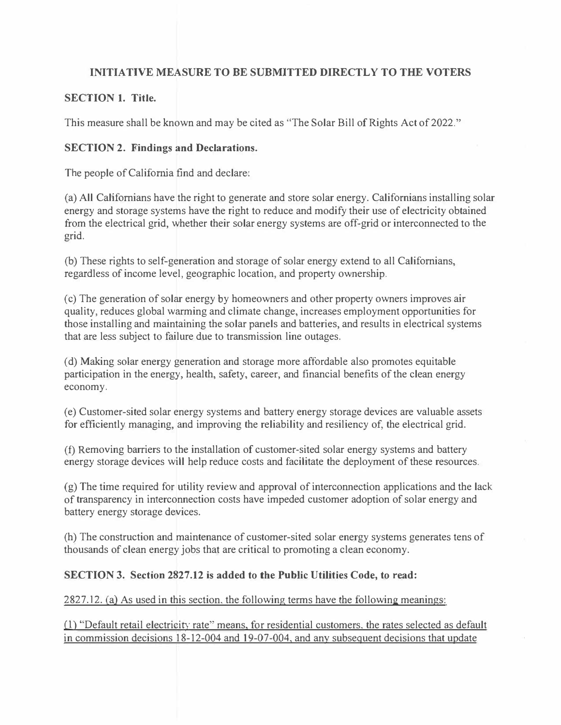### **INITIATIVE MEASURE TO BE SUBMITTED DIRECTLY TO THE VOTERS**

#### **SECTION 1. Title.**

This measure shall be known and may be cited as "The Solar Bill of Rights Act of 2022."

#### **SECTION 2. Findings and Declarations.**

The people of California find and declare:

(a) All Californians have the right to generate and store solar energy. Californians installing solar energy and storage systems have the right to reduce and modify their use of electricity obtained from the electrical grid, whether their solar energy systems are off-grid or interconnected to the grid.

(b) These rights to self-generation and storage of solar energy extend to all Californians, regardless of income level, geographic location, and property ownership.

(c) The generation of solar energy by homeowners and other property owners improves air quality, reduces global warming and climate change, increases employment opportunities for those installing and maintaining the solar panels and batteries, and results in electrical systems that are less subject to failure due to transmission line outages.

(d) Making solar energy generation and storage more affordable also promotes equitable participation in the energy, health, safety, career, and financial benefits of the clean energy economy.

(e) Customer-sited solar energy systems and battery energy storage devices are valuable assets for efficiently managing, and improving the reliability and resiliency of, the electrical grid.

(f) Removing barriers to the installation of customer-sited solar energy systems and battery energy storage devices will help reduce costs and facilitate the deployment of these resources.

(g) The time required for utility review and approval of interconnection applications and the lack of transparency in interconnection costs have impeded customer adoption of solar energy and battery energy storage devices.

(h) The construction and maintenance of customer-sited solar energy systems generates tens of thousands of clean energy jobs that are critical to promoting a clean economy.

#### **SECTION 3. Section 2827.12 is added to the Public Utilities Code, to read:**

2827 .12. (a) As used in this section. the following terms have the following meanings:

0) "Default retail electricity rate" means, for residential customers. the rates selected as default in commission decisions 18-12-004 and 19-07-004, and any subsequent decisions that update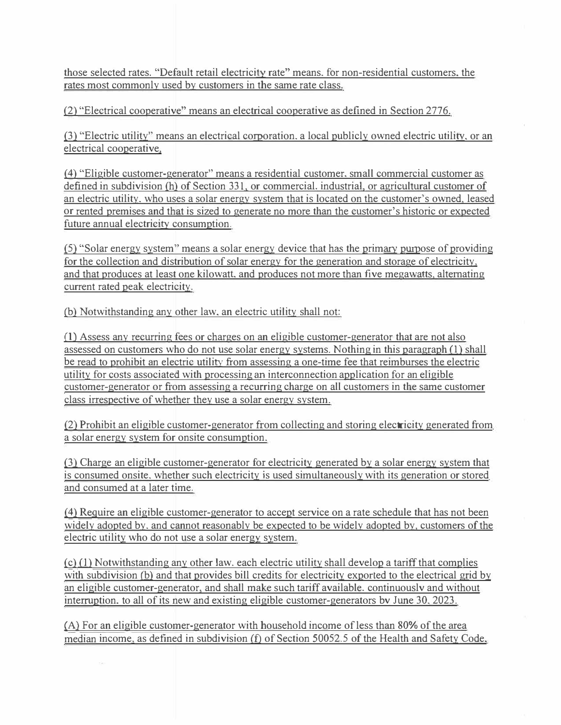**those selected rates. "Default retail electricity rate" means. for non-residential customers, the rates most commonly used by customers in the same rate class.** 

**(2) "Electrical cooperative" means an electrical cooperative as defined in Section 2776.** 

**(3) "Electric utility" means an electrical corporation, a local publicly owned electric utility. or an electrical cooperative,** 

**(4) "Eligible customer-generator" means a residential customer, small commercial customer as defined in subdivision (h) of Section 331, or commercial. industrial, or agricultural customer of an electric utility, who uses a solar energy system that is located on the customer's owned, leased or rented premises and that is sized to generate no more than the customer's historic or expected future annual electricity consumption.** 

**(5) "Solar energy system" means a solar energy device that ha� the primary purpose of providing for the collection and distribution of solar energy for the generation and storage of electricity,**  and that produces at least one kilowatt, and produces not more than five megawatts, alternating **current rated peak electricity.** 

**(b) Notwithstanding any other law, an electric utility shall not:** 

**(1) Assess any recurring fees or charges on an eligible customer-generator that are not also assessed on customers who do not use solar energy systems. Nothing in this paragraph (1) shall be read to prohibit an electric utility from assessing a one-time fee that reimburses the electric utility for costs associated with processing an interconnection application for an eligible customer-generator or from assessing a recurring charge on all customers in the same customer class irrespective of whether they use a solar energy system.** 

**(2) Prohibit an eligible customer-generator from collecting and storing electricity generated from a solar energy system for onsite consumption.** 

**(3) Charge an eligible customer-generator for electricity generated by a solar energy system that is consumed onsite, whether such electricity is used simultaneously with its generation or stored and consumed at a later time.** 

**(4) Require an eligible customer-generator to accept service on a rate schedule that has not been widely adopted by. and cannot reasonably be expected to be widely adopted by, customers of the electric utility who do not use a solar energy system.** 

**(c)(1) Notwithstanding any other law, each electric utility shall develop a tariff that complies**  with subdivision (b) and that provides bill credits for electricity exported to the electrical grid by **an eligible customer-generator, and shall make such tariff available. continuouslv and without interruption, to all of its new and existing eligible customer-generators bv June 30, 2023.** 

**(A) For an eligible customer-generator with household income of less than 80% of the area median income, as defined in subdivision (f) of Section 50052.5 of the Health and Safety Code,**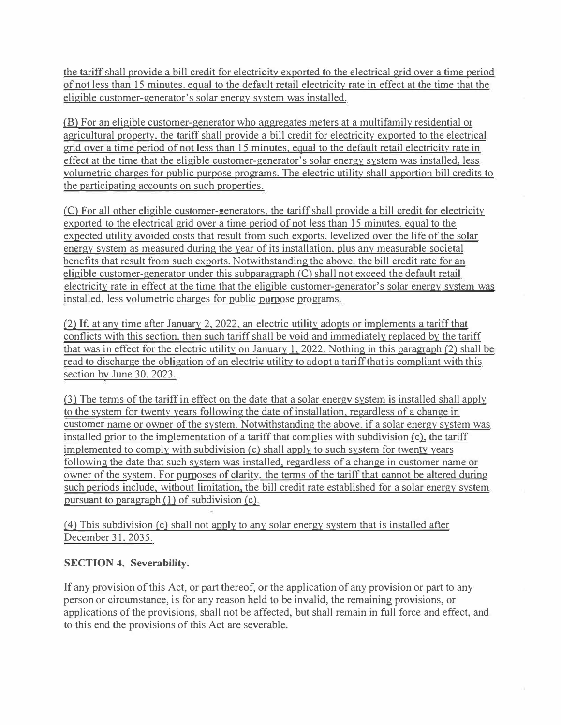the tariff shall provide a bill credit for electricity exported to the electrical grid over a time period of not less than 15 minutes. equal to the default retail electricity rate in effect at the time that the eligible customer-generator's solar energy system was installed.

(B) For an eligible customer-generator who aggregates meters at a multifamily residential or agricultural property. the tariff shall provide a bill credit for electricity exported to the electrical grid over a time period of not less than 15 minutes, equal to the default retail electricity rate in effect at the time that the eligible customer-generator's solar energy system was installed, less volumetric charges for public purpose programs. The electric utility shall apportion bill credits to the participating accounts on such properties.

(C) For all other eligible customer-generators. the tariff shall provide a bill credit for electricity exported to the electrical grid over a time period of not less than 15 minutes. equal to the expected utility avoided costs that result from such exports. levelized over the life of the solar energy system as measured during the year of its installation. plus any measurable societal benefits that result from such exports. Notwithstanding the above. the bill credit rate for an eligible customer-generator under this subparagraph *(C)* shall not exceed the default retail electricity rate in effect at the time that the eligible customer-generator's solar energy system was installed. less volumetric charges for public purpose programs.

(2) **If.** at any time after January 2. 2022. an electric utility adopts or implements a tariff that conflicts with this section, then such tariff shall be void and immediately replaced by the tariff that was in effect for the electric utility on January 1, 2022. Nothing in this paragraph (2) shall be read to discharge the obligation of an electric utility to adopt a tariff that is compliant with this section bv June 30. 2023.

(3) The terms of the tariff in effect on the date that a solar energv system is installed shall apply to the system for twenty years following the date of installation. regardless of a change in customer name or owner of the system. Notwithstanding the above. if a solar energy system was installed prior to the implementation of a tariff that complies with subdivision *(c).* the tariff implemented to comply with subdivision (c) shall apply to such system for twenty years following the date that such system was installed, regardless of a change in customer name or owner of the system. For purposes of clarity, the terms of the tariff that cannot be altered during such periods include, without limitation, the bill credit rate established for a solar energy system pursuant to paragraph (1) of subdivision (c).

*(*4) This subdivision (c) shall not apply to any solar energy system that is installed after December 31. 2035.

### **SECTION 4. Severability.**

**If** any provision of this Act, or part thereof, or the application of any provision or part to any person or circumstance, is for any reason held to be invalid, the remaining provisions, or applications of the provisions, shall not be affected, but shall remain in full force and effect, and to this end the provisions of this Act are severable.